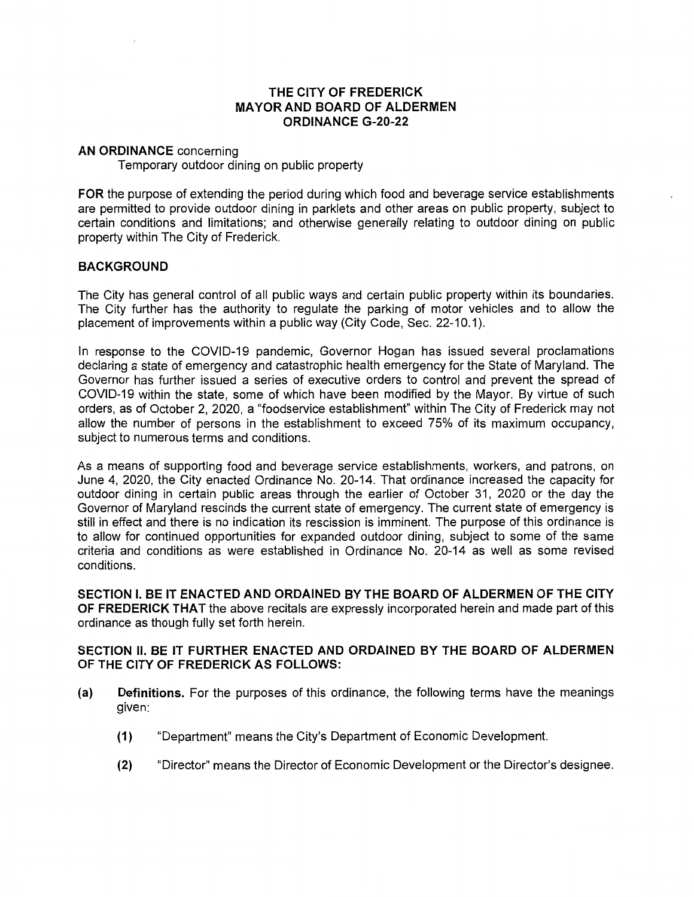## **THE CITY OF FREDERICK MAYOR AND BOARD OF ALDERMEN ORDINANCE G-20-22**

#### **AN ORDINANCE** concerning

Temporary outdoor dining on public property

**FOR** the purpose of extending the period during which food and beverage service establishments are permitted to provide outdoor dining in parklets and other areas on public property, subject to certain conditions and limitations; and otherwise generally relating to outdoor dining on public property within The City of Frederick.

## **BACKGROUND**

The City has general control of all public ways and certain public property within its boundaries. The City further has the authority to regulate the parking of motor vehicles and to allow the placement of improvements within a public way (City Code, Sec. 22-10.1 ).

In response to the COVID-19 pandemic, Governor Hogan has issued several proclamations declaring a state of emergency and catastrophic health emergency for the State of Maryland. The Governor has further issued a series of executive orders to control and prevent the spread of COVID-19 within the state, some of which have been modified by the Mayor. By virtue of such orders, as of October 2, 2020, a "foodservice establishment" within The City of Frederick may not allow the number of persons in the establishment to exceed 75% of its maximum occupancy, subject to numerous terms and conditions.

As a means of supporting food and beverage service establishments, workers, and patrons, on June 4, 2020, the City enacted Ordinance No. 20-14. That ordinance increased the capacity for outdoor dining in certain public areas through the earlier of October 31, 2020 or the day the Governor of Maryland rescinds the current state of emergency. The current state of emergency is still in effect and there is no indication its rescission is imminent. The purpose of this ordinance is to allow for continued opportunities for expanded outdoor dining, subject to some of the same criteria and conditions as were established in Ordinance No. 20-14 as well as some revised conditions.

**SECTION I. BE IT ENACTED AND ORDAINED BY THE BOARD OF ALDERMEN OF THE CITY OF FREDERICK THAT** the above recitals are expressly incorporated herein and made part of this ordinance as though fully set forth herein.

## **SECTION II. BE IT FURTHER ENACTED AND ORDAINED BY THE BOARD OF ALDERMEN OF THE CITY OF FREDERICK AS FOLLOWS:**

- **(a) Definitions.** For the purposes of this ordinance, the following terms have the meanings given:
	- **(1)** "Department" means the City's Department of Economic Development.
	- **(2)** "Director" means the Director of Economic Development or the Director's designee.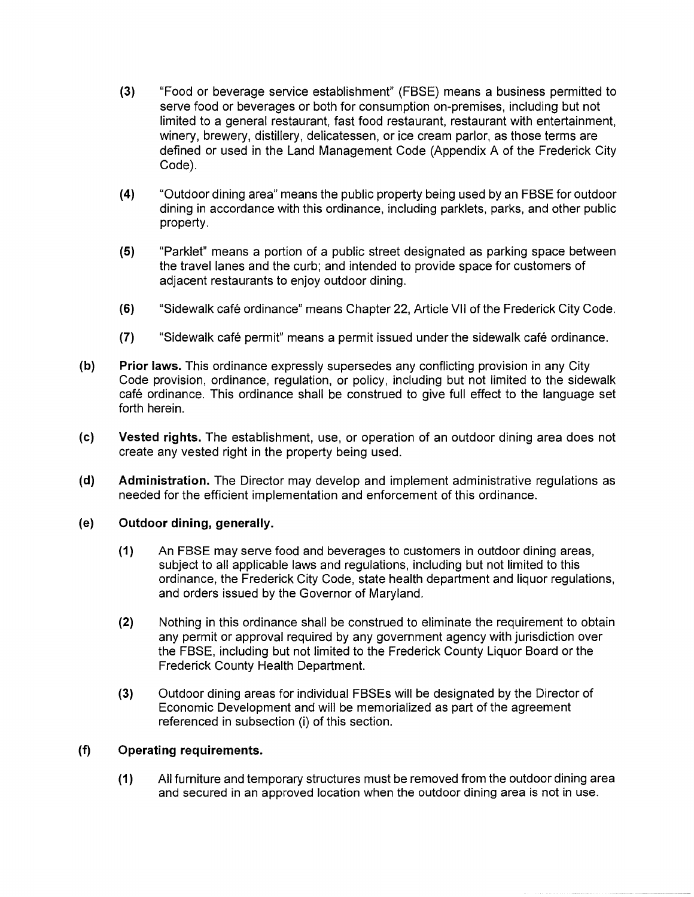- **(3)** "Food or beverage service establishment" (FBSE) means a business permitted to serve food or beverages or both for consumption on-premises, including but not limited to a general restaurant, fast food restaurant, restaurant with entertainment, winery, brewery, distillery, delicatessen, or ice cream parlor, as those terms are defined or used in the Land Management Code (Appendix A of the Frederick City Code).
- **(4)** "Outdoor dining area" means the public property being used by an FBSE for outdoor dining in accordance with this ordinance, including parklets, parks, and other public property.
- **(5)** "Parklet'' means a portion of a public street designated as parking space between the travel lanes and the curb; and intended to provide space for customers of adjacent restaurants to enjoy outdoor dining.
- **(6)** "Sidewalk cafe ordinance" means Chapter 22, Article VII of the Frederick City Code.
- **(7)** "Sidewalk cafe permit" means a permit issued under the sidewalk cafe ordinance.
- **(b) Prior laws.** This ordinance expressly supersedes any conflicting provision in any City Code provision, ordinance, regulation, or policy, including but not limited to the sidewalk café ordinance. This ordinance shall be construed to give full effect to the language set forth herein.
- **(c) Vested rights.** The establishment, use, or operation of an outdoor dining area does not create any vested right in the property being used.
- **(d) Administration.** The Director may develop and implement administrative regulations as needed for the efficient implementation and enforcement of this ordinance.

### **(e) Outdoor dining, generally.**

- **(1)** An FBSE may serve food and beverages to customers in outdoor dining areas, subject to all applicable laws and regulations, including but not limited to this ordinance, the Frederick City Code, state health department and liquor regulations, and orders issued by the Governor of Maryland.
- **(2)** Nothing in this ordinance shall be construed to eliminate the requirement to obtain any permit or approval required by any government agency with jurisdiction over the FBSE, including but not limited to the Frederick County Liquor Board or the Frederick County Health Department.
- **(3)** Outdoor dining areas for individual FBSEs will be designated by the Director of Economic Development and will be memorialized as part of the agreement referenced in subsection (i) of this section.

# **(f) Operating requirements.**

**(1)** All furniture and temporary structures must be removed from the outdoor dining area and secured in an approved location when the outdoor dining area is not in use.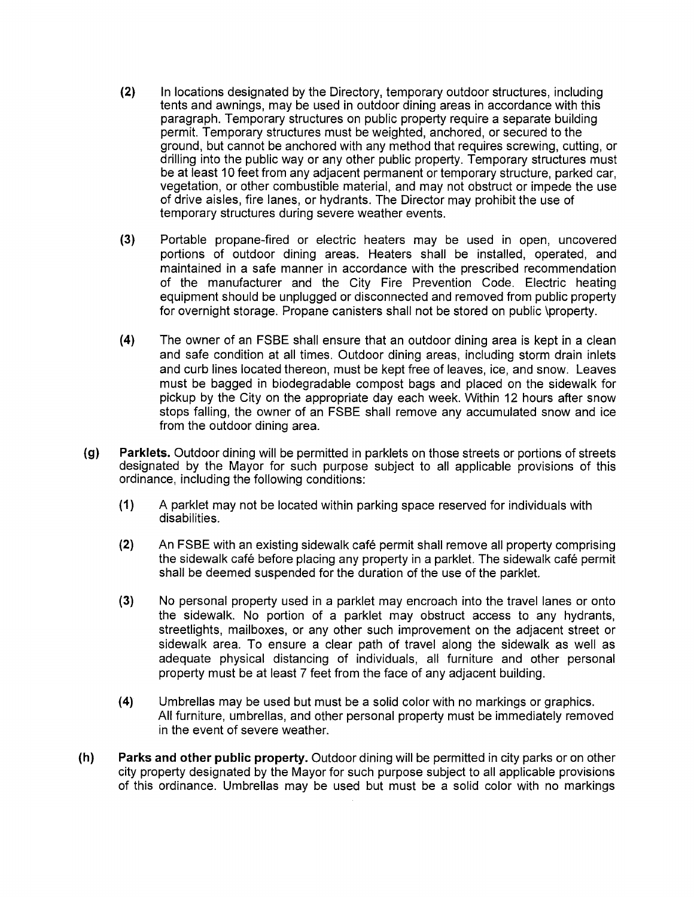- **(2)** In locations designated by the Directory, temporary outdoor structures, including tents and awnings, may be used in outdoor dining areas in accordance with this paragraph. Temporary structures on public property require a separate building permit. Temporary structures must be weighted, anchored, or secured to the ground, but cannot be anchored with any method that requires screwing, cutting, or drilling into the public way or any other public property. Temporary structures must be at least 10 feet from any adjacent permanent or temporary structure, parked car, vegetation, or other combustible material, and may not obstruct or impede the use of drive aisles, fire lanes, or hydrants. The Director may prohibit the use of temporary structures during severe weather events.
- **(3)** Portable propane-fired or electric heaters may be used in open, uncovered portions of outdoor dining areas. Heaters shall be installed, operated, and maintained in a safe manner in accordance with the prescribed recommendation of the manufacturer and the City Fire Prevention Code. Electric heating equipment should be unplugged or disconnected and removed from public property for overnight storage. Propane canisters shall not be stored on public \property.
- **(4)** The owner of an FSBE shall ensure that an outdoor dining area is kept in a clean and safe condition at all times. Outdoor dining areas, including storm drain inlets and curb lines located thereon, must be kept free of leaves, ice, and snow. Leaves must be bagged in biodegradable compost bags and placed on the sidewalk for pickup by the City on the appropriate day each week. Within 12 hours after snow stops falling, the owner of an FSBE shall remove any accumulated snow and ice from the outdoor dining area.
- (g) **Parklets.** Outdoor dining will be permitted in parklets on those streets or portions of streets designated by the Mayor for such purpose subject to all applicable provisions of this ordinance, including the following conditions:
	- **(1)** A parklet may not be located within parking space reserved for individuals with disabilities.
	- **(2)** An FSBE with an existing sidewalk cafe permit shall remove all property comprising the sidewalk cafe before placing any property in a parklet. The sidewalk cafe permit shall be deemed suspended for the duration of the use of the parklet.
	- **(3)** No personal property used in a parklet may encroach into the travel lanes or onto the sidewalk. No portion of a parklet may obstruct access to any hydrants, streetlights, mailboxes, or any other such improvement on the adjacent street or sidewalk area. To ensure a clear path of travel along the sidewalk as well as adequate physical distancing of individuals, all furniture and other personal property must be at least 7 feet from the face of any adjacent building.
	- **(4)** Umbrellas may be used but must be a solid color with no markings or graphics. All furniture, umbrellas, and other personal property must be immediately removed in the event of severe weather.
- **{h) Parks and other public property.** Outdoor dining will be permitted in city parks or on other city property designated by the Mayor for such purpose subject to all applicable provisions of this ordinance. Umbrellas may be used but must be a solid color with no markings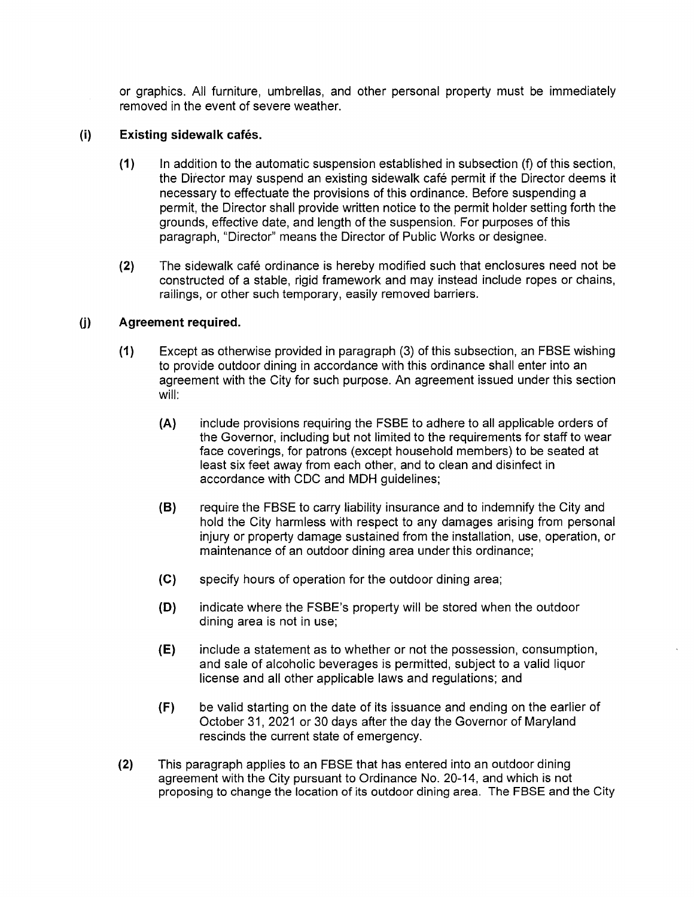or graphics. All furniture, umbrellas, and other personal property must be immediately removed in the event of severe weather.

## (i) **Existing sidewalk cafes.**

- **(1)** In addition to the automatic suspension established in subsection (f) of this section, the Director may suspend an existing sidewalk cafe permit if the Director deems it necessary to effectuate the provisions of this ordinance. Before suspending a permit, the Director shall provide written notice to the permit holder setting forth the grounds, effective date, and length of the suspension. For purposes of this paragraph, "Director" means the Director of Public Works or designee.
- **(2)** The sidewalk cafe ordinance is hereby modified such that enclosures need not be constructed of a stable, rigid framework and may instead include ropes or chains, railings, or other such temporary, easily removed barriers.

## **(j) Agreement required.**

- **(1)** Except as otherwise provided in paragraph (3) of this subsection, an FBSE wishing to provide outdoor dining in accordance with this ordinance shall enter into an agreement with the City for such purpose. An agreement issued under this section will:
	- **(A)** include provisions requiring the FSBE to adhere to all applicable orders of the Governor, including but not limited to the requirements for staff to wear face coverings, for patrons (except household members) to be seated at least six feet away from each other, and to clean and disinfect in accordance with CDC and MOH guidelines;
	- **(8)** require the FBSE to carry liability insurance and to indemnify the City and hold the City harmless with respect to any damages arising from personal injury or property damage sustained from the installation, use, operation, or maintenance of an outdoor dining area under this ordinance;
	- **(C)** specify hours of operation for the outdoor dining area;
	- **(D)** indicate where the FSBE's property will be stored when the outdoor dining area is not in use;
	- **(E)** include a statement as to whether or not the possession, consumption, and sale of alcoholic beverages is permitted, subject to a valid liquor license and all other applicable laws and regulations; and
	- **(F)** be valid starting on the date of its issuance and ending on the earlier of October 31, 2021 or 30 days after the day the Governor of Maryland rescinds the current state of emergency.
- **(2)** This paragraph applies to an FBSE that has entered into an outdoor dining agreement with the City pursuant to Ordinance No. 20-14, and which is not proposing to change the location of its outdoor dining area. The FBSE and the City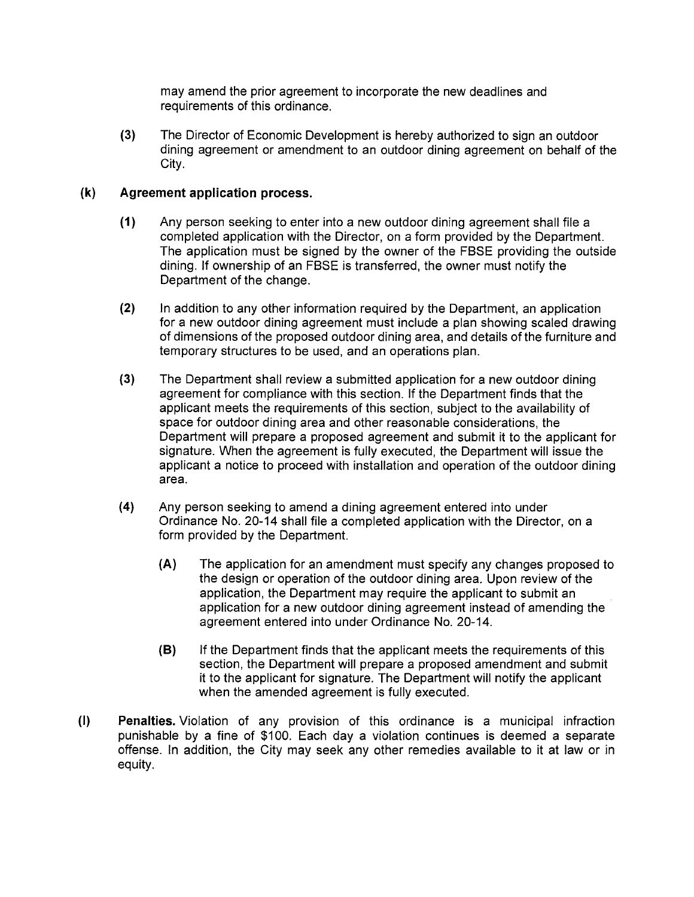may amend the prior agreement to incorporate the new deadlines and requirements of this ordinance.

**(3)** The Director of Economic Development is hereby authorized to sign an outdoor dining agreement or amendment to an outdoor dining agreement on behalf of the City.

## **(k) Agreement application process.**

- **(1)** Any person seeking to enter into a new outdoor dining agreement shall file a completed application with the Director, on a form provided by the Department. The application must be signed by the owner of the FBSE providing the outside dining. If ownership of an FBSE is transferred, the owner must notify the Department of the change.
- **(2)** In addition to any other information required by the Department, an application for a new outdoor dining agreement must include a plan showing scaled drawing of dimensions of the proposed outdoor dining area, and details of the furniture and temporary structures to be used, and an operations plan.
- **(3)** The Department shall review a submitted application for a new outdoor dining agreement for compliance with this section. If the Department finds that the applicant meets the requirements of this section, subject to the availability of space for outdoor dining area and other reasonable considerations, the Department will prepare a proposed agreement and submit it to the applicant for signature. When the agreement is fully executed, the Department will issue the applicant a notice to proceed with installation and operation of the outdoor dining area.
- **(4)** Any person seeking to amend a dining agreement entered into under Ordinance No. 20-14 shall file a completed application with the Director, on a form provided by the Department.
	- **(A)** The application for an amendment must specify any changes proposed to the design or operation of the outdoor dining area. Upon review of the application, the Department may require the applicant to submit an application for a new outdoor dining agreement instead of amending the agreement entered into under Ordinance No. 20-14.
	- **(B)** If the Department finds that the applicant meets the requirements of this section, the Department will prepare a proposed amendment and submit it to the applicant for signature. The Department will notify the applicant when the amended agreement is fully executed.
- (I) **Penalties.** Violation of any provision of this ordinance is a municipal infraction punishable by a fine of \$100. Each day a violation continues is deemed a separate offense. In addition, the City may seek any other remedies available to it at law or in equity.